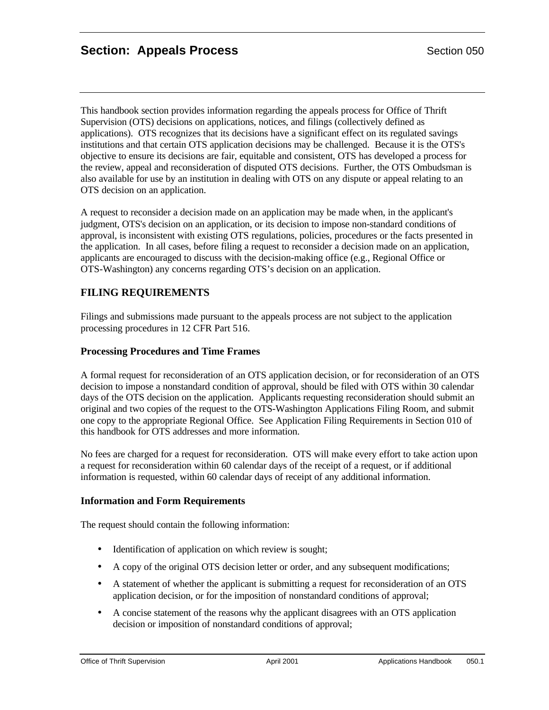This handbook section provides information regarding the appeals process for Office of Thrift Supervision (OTS) decisions on applications, notices, and filings (collectively defined as applications). OTS recognizes that its decisions have a significant effect on its regulated savings institutions and that certain OTS application decisions may be challenged. Because it is the OTS's objective to ensure its decisions are fair, equitable and consistent, OTS has developed a process for the review, appeal and reconsideration of disputed OTS decisions. Further, the OTS Ombudsman is also available for use by an institution in dealing with OTS on any dispute or appeal relating to an OTS decision on an application.

A request to reconsider a decision made on an application may be made when, in the applicant's judgment, OTS's decision on an application, or its decision to impose non-standard conditions of approval, is inconsistent with existing OTS regulations, policies, procedures or the facts presented in the application. In all cases, before filing a request to reconsider a decision made on an application, applicants are encouraged to discuss with the decision-making office (e.g., Regional Office or OTS-Washington) any concerns regarding OTS's decision on an application.

# **FILING REQUIREMENTS**

Filings and submissions made pursuant to the appeals process are not subject to the application processing procedures in 12 CFR Part 516.

### **Processing Procedures and Time Frames**

A formal request for reconsideration of an OTS application decision, or for reconsideration of an OTS decision to impose a nonstandard condition of approval, should be filed with OTS within 30 calendar days of the OTS decision on the application. Applicants requesting reconsideration should submit an original and two copies of the request to the OTS-Washington Applications Filing Room, and submit one copy to the appropriate Regional Office. See Application Filing Requirements in Section 010 of this handbook for OTS addresses and more information.

No fees are charged for a request for reconsideration. OTS will make every effort to take action upon a request for reconsideration within 60 calendar days of the receipt of a request, or if additional information is requested, within 60 calendar days of receipt of any additional information.

### **Information and Form Requirements**

The request should contain the following information:

- Identification of application on which review is sought;
- A copy of the original OTS decision letter or order, and any subsequent modifications;
- A statement of whether the applicant is submitting a request for reconsideration of an OTS application decision, or for the imposition of nonstandard conditions of approval;
- A concise statement of the reasons why the applicant disagrees with an OTS application decision or imposition of nonstandard conditions of approval;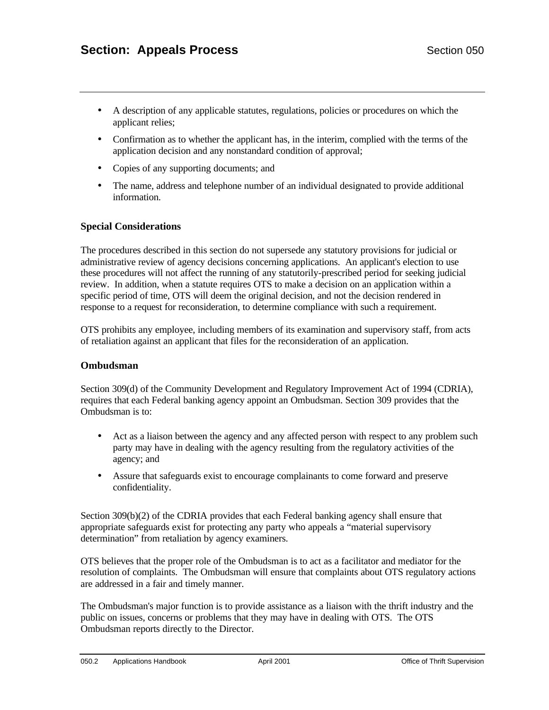- A description of any applicable statutes, regulations, policies or procedures on which the applicant relies;
- Confirmation as to whether the applicant has, in the interim, complied with the terms of the application decision and any nonstandard condition of approval;
- Copies of any supporting documents; and
- The name, address and telephone number of an individual designated to provide additional information.

### **Special Considerations**

The procedures described in this section do not supersede any statutory provisions for judicial or administrative review of agency decisions concerning applications. An applicant's election to use these procedures will not affect the running of any statutorily-prescribed period for seeking judicial review. In addition, when a statute requires OTS to make a decision on an application within a specific period of time, OTS will deem the original decision, and not the decision rendered in response to a request for reconsideration, to determine compliance with such a requirement.

OTS prohibits any employee, including members of its examination and supervisory staff, from acts of retaliation against an applicant that files for the reconsideration of an application.

#### **Ombudsman**

Section 309(d) of the Community Development and Regulatory Improvement Act of 1994 (CDRIA), requires that each Federal banking agency appoint an Ombudsman. Section 309 provides that the Ombudsman is to:

- Act as a liaison between the agency and any affected person with respect to any problem such party may have in dealing with the agency resulting from the regulatory activities of the agency; and
- Assure that safeguards exist to encourage complainants to come forward and preserve confidentiality.

Section 309(b)(2) of the CDRIA provides that each Federal banking agency shall ensure that appropriate safeguards exist for protecting any party who appeals a "material supervisory determination" from retaliation by agency examiners.

OTS believes that the proper role of the Ombudsman is to act as a facilitator and mediator for the resolution of complaints. The Ombudsman will ensure that complaints about OTS regulatory actions are addressed in a fair and timely manner.

The Ombudsman's major function is to provide assistance as a liaison with the thrift industry and the public on issues, concerns or problems that they may have in dealing with OTS. The OTS Ombudsman reports directly to the Director.